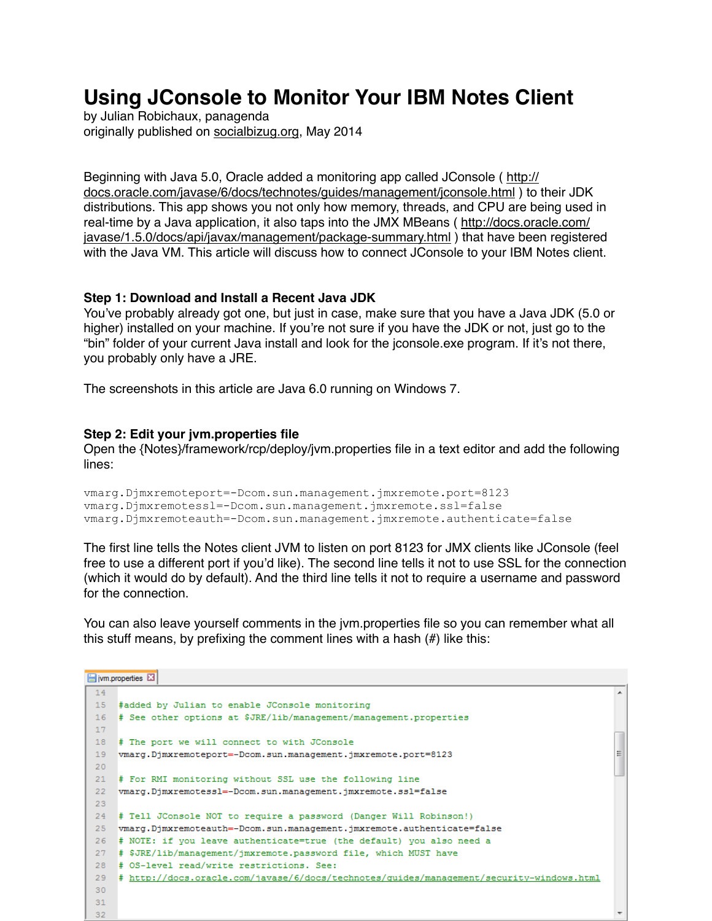# **Using JConsole to Monitor Your IBM Notes Client**

by Julian Robichaux, panagenda originally published on [socialbizug.org](http://socialbizug.org), May 2014

[Beginning with Java 5.0, Oracle added a monitoring app called JConsole \( http://](http://docs.oracle.com/javase/6/docs/technotes/guides/management/jconsole.html) [docs.oracle.com/javase/6/docs/technotes/guides/management/jconsole.html](http://docs.oracle.com/javase/6/docs/technotes/guides/management/jconsole.html) ) to their JDK distributions. This app shows you not only how memory, threads, and CPU are being used in real-time by a Java application, it also taps into the JMX MBeans ( [http://docs.oracle.com/](http://docs.oracle.com/javase/1.5.0/docs/api/javax/management/package-summary.html) [javase/1.5.0/docs/api/javax/management/package-summary.html](http://docs.oracle.com/javase/1.5.0/docs/api/javax/management/package-summary.html) ) that have been registered with the Java VM. This article will discuss how to connect JConsole to your IBM Notes client.

### **Step 1: Download and Install a Recent Java JDK**

You've probably already got one, but just in case, make sure that you have a Java JDK (5.0 or higher) installed on your machine. If you're not sure if you have the JDK or not, just go to the "bin" folder of your current Java install and look for the jconsole.exe program. If it's not there, you probably only have a JRE.

The screenshots in this article are Java 6.0 running on Windows 7.

#### **Step 2: Edit your jvm.properties file**

Open the {Notes}/framework/rcp/deploy/jvm.properties file in a text editor and add the following lines:

```
vmarg.Djmxremoteport=-Dcom.sun.management.jmxremote.port=8123 
vmarg.Djmxremotessl=-Dcom.sun.management.jmxremote.ssl=false 
vmarg.Djmxremoteauth=-Dcom.sun.management.jmxremote.authenticate=false
```
The first line tells the Notes client JVM to listen on port 8123 for JMX clients like JConsole (feel free to use a different port if you'd like). The second line tells it not to use SSL for the connection (which it would do by default). And the third line tells it not to require a username and password for the connection.

You can also leave yourself comments in the jvm.properties file so you can remember what all this stuff means, by prefixing the comment lines with a hash (#) like this:

```
Fivm.properties EI
 14<sup>°</sup>\blacktriangle15 #added by Julian to enable JConsole monitoring
 16 # See other options at $JRE/lib/management/management.properties
 17
 18 # The port we will connect to with JConsole
 19 vmarg.Djmxremoteport=-Dcom.sun.management.jmxremote.port=8123
                                                                                                     \equiv20<sup>o</sup>21 # For RMI monitoring without SSL use the following line
 22 vmarg.Djmxremotessl=-Dcom.sun.management.jmxremote.ssl=false
 23
 24 # Tell JConsole NOT to require a password (Danger Will Robinson!)
 25 vmarg.Djmxremoteauth =- Dcom.sun.management.jmxremote.authenticate =false
 26 # NOTE: if you leave authenticate=true (the default) you also need a
 27 # $JRE/lib/management/jmxremote.password file, which MUST have
 28 # OS-level read/write restrictions. See:
 29 # http://docs.oracle.com/javase/6/docs/technotes/quides/management/security-windows.html
 30
 3132
```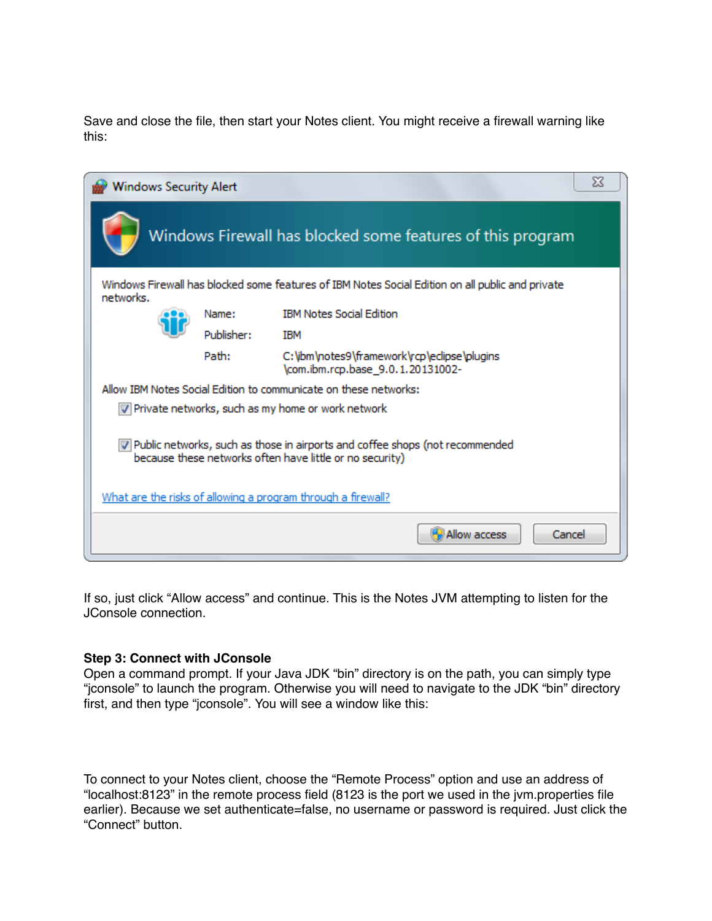Save and close the file, then start your Notes client. You might receive a firewall warning like this:

| Χ<br><b>Windows Security Alert</b>                                                                                                         |            |                                                                                        |  |  |  |
|--------------------------------------------------------------------------------------------------------------------------------------------|------------|----------------------------------------------------------------------------------------|--|--|--|
|                                                                                                                                            |            | Windows Firewall has blocked some features of this program                             |  |  |  |
| Windows Firewall has blocked some features of IBM Notes Social Edition on all public and private<br>networks.                              |            |                                                                                        |  |  |  |
|                                                                                                                                            | Name:      | <b>IBM Notes Social Edition</b>                                                        |  |  |  |
|                                                                                                                                            | Publisher: | <b>TBM</b>                                                                             |  |  |  |
|                                                                                                                                            | Path:      | C: \ibm \notes9 \framework \rcp \eclipse \plugins<br>\com.ibm.rcp.base_9.0.1.20131002- |  |  |  |
| Allow IBM Notes Social Edition to communicate on these networks:                                                                           |            |                                                                                        |  |  |  |
| V Private networks, such as my home or work network                                                                                        |            |                                                                                        |  |  |  |
| V Public networks, such as those in airports and coffee shops (not recommended<br>because these networks often have little or no security) |            |                                                                                        |  |  |  |
| What are the risks of allowing a program through a firewall?                                                                               |            |                                                                                        |  |  |  |
| Cancel<br>Allow access                                                                                                                     |            |                                                                                        |  |  |  |

If so, just click "Allow access" and continue. This is the Notes JVM attempting to listen for the JConsole connection.

### **Step 3: Connect with JConsole**

Open a command prompt. If your Java JDK "bin" directory is on the path, you can simply type "jconsole" to launch the program. Otherwise you will need to navigate to the JDK "bin" directory first, and then type "jconsole". You will see a window like this:

To connect to your Notes client, choose the "Remote Process" option and use an address of "localhost:8123" in the remote process field (8123 is the port we used in the jvm.properties file earlier). Because we set authenticate=false, no username or password is required. Just click the "Connect" button.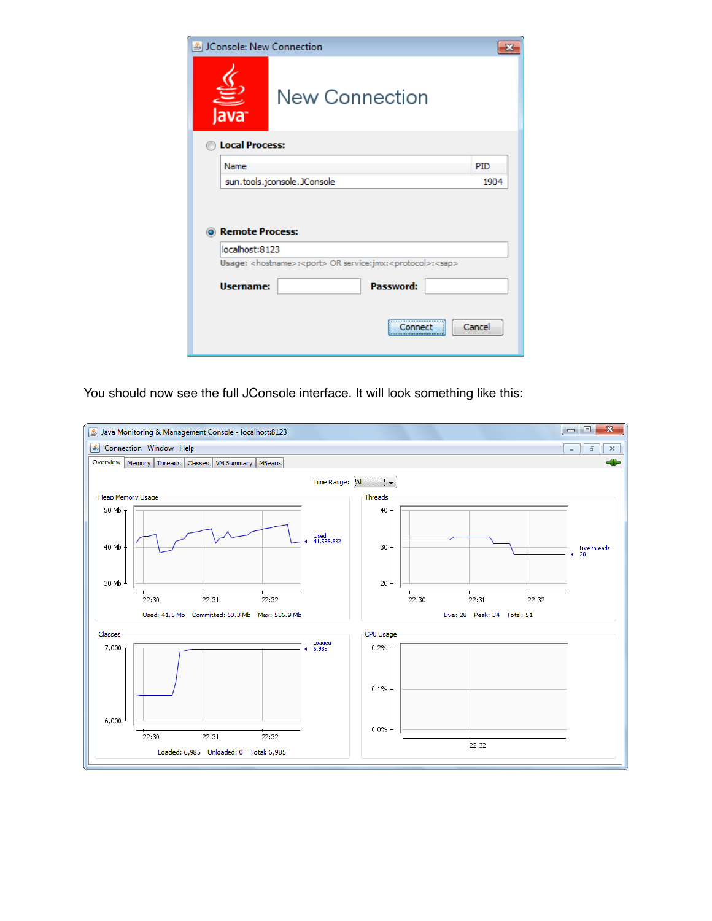| & JConsole: New Connection                                                                  |                       |        |  |  |  |
|---------------------------------------------------------------------------------------------|-----------------------|--------|--|--|--|
| ava <sup>.</sup>                                                                            | <b>New Connection</b> |        |  |  |  |
| <b>Local Process:</b>                                                                       |                       |        |  |  |  |
| Name                                                                                        |                       | PID    |  |  |  |
| sun.tools.jconsole.JConsole                                                                 | 1904                  |        |  |  |  |
| <b>O</b> Remote Process:<br>localhost:8123                                                  |                       |        |  |  |  |
| Usage: <hostname>:<port> OR service:jmx:<protocol>:<sap></sap></protocol></port></hostname> |                       |        |  |  |  |
| <b>Username:</b>                                                                            | Password:             |        |  |  |  |
|                                                                                             | Connect               | Cancel |  |  |  |

You should now see the full JConsole interface. It will look something like this:

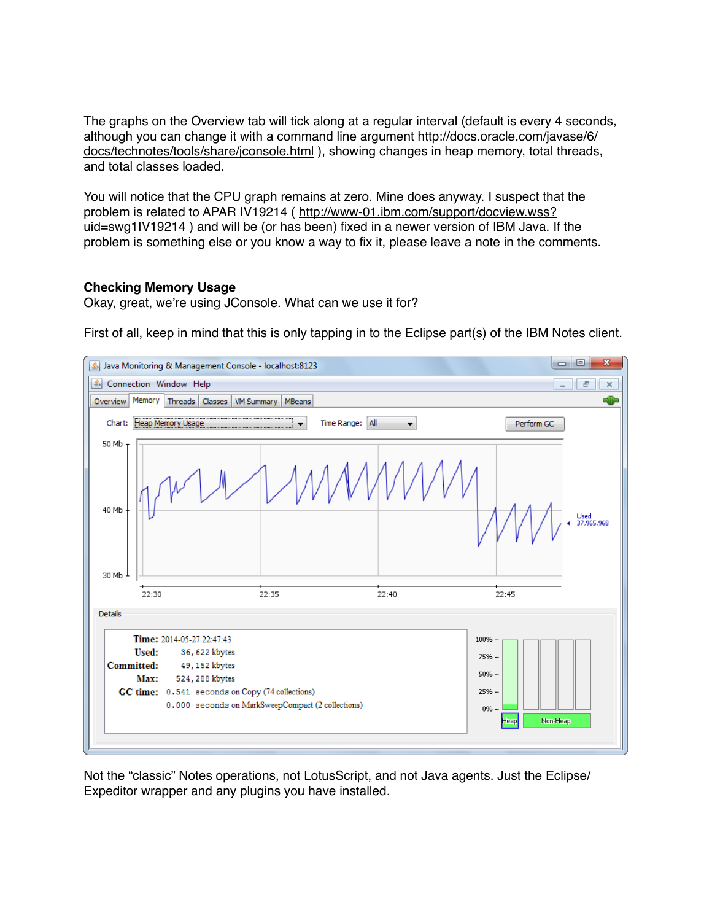The graphs on the Overview tab will tick along at a regular interval (default is every 4 seconds, although you can change it with a command line argument [http://docs.oracle.com/javase/6/](http://docs.oracle.com/javase/6/docs/technotes/tools/share/jconsole.html) [docs/technotes/tools/share/jconsole.html](http://docs.oracle.com/javase/6/docs/technotes/tools/share/jconsole.html)), showing changes in heap memory, total threads, and total classes loaded.

You will notice that the CPU graph remains at zero. Mine does anyway. I suspect that the problem is related to APAR IV19214 ( [http://www-01.ibm.com/support/docview.wss?](http://www-01.ibm.com/support/docview.wss?uid=swg1IV19214) [uid=swg1IV19214](http://www-01.ibm.com/support/docview.wss?uid=swg1IV19214) ) and will be (or has been) fixed in a newer version of IBM Java. If the problem is something else or you know a way to fix it, please leave a note in the comments.

## **Checking Memory Usage**

Okay, great, we're using JConsole. What can we use it for?

First of all, keep in mind that this is only tapping in to the Eclipse part(s) of the IBM Notes client.



Not the "classic" Notes operations, not LotusScript, and not Java agents. Just the Eclipse/ Expeditor wrapper and any plugins you have installed.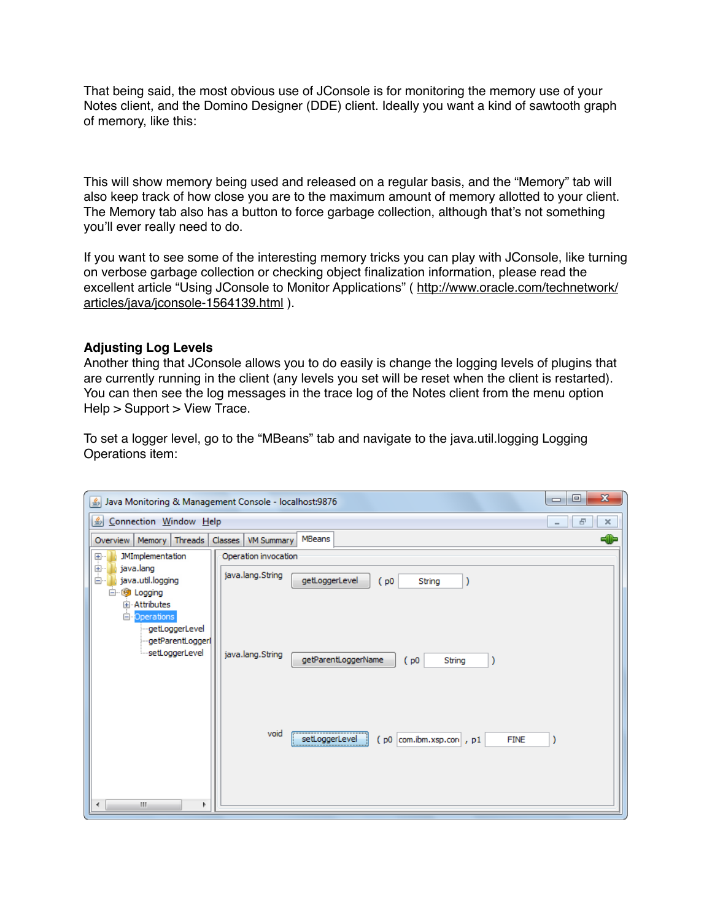That being said, the most obvious use of JConsole is for monitoring the memory use of your Notes client, and the Domino Designer (DDE) client. Ideally you want a kind of sawtooth graph of memory, like this:

This will show memory being used and released on a regular basis, and the "Memory" tab will also keep track of how close you are to the maximum amount of memory allotted to your client. The Memory tab also has a button to force garbage collection, although that's not something you'll ever really need to do.

If you want to see some of the interesting memory tricks you can play with JConsole, like turning on verbose garbage collection or checking object finalization information, please read the excellent article "Using JConsole to Monitor Applications" ( [http://www.oracle.com/technetwork/](http://www.oracle.com/technetwork/articles/java/jconsole-1564139.html) [articles/java/jconsole-1564139.html](http://www.oracle.com/technetwork/articles/java/jconsole-1564139.html) ).

## **Adjusting Log Levels**

Another thing that JConsole allows you to do easily is change the logging levels of plugins that are currently running in the client (any levels you set will be reset when the client is restarted). You can then see the log messages in the trace log of the Notes client from the menu option Help > Support > View Trace.

To set a logger level, go to the "MBeans" tab and navigate to the java.util.logging Logging Operations item:

| $\mathbf{x}$<br>▣<br>$\qquad \qquad \Box$<br>Java Monitoring & Management Console - localhost:9876 |                                                                          |  |  |  |  |
|----------------------------------------------------------------------------------------------------|--------------------------------------------------------------------------|--|--|--|--|
| $\left  \frac{\mathcal{L}}{\mathcal{L}} \right $<br>Connection Window Help<br>日<br>$\times$        |                                                                          |  |  |  |  |
| Overview   Memory   Threads                                                                        | MBeans<br>Classes<br>VM Summary                                          |  |  |  |  |
| <b>JMImplementation</b><br>$\left(\frac{1}{\sqrt{2}}\right)\cdots$                                 | Operation invocation                                                     |  |  |  |  |
| java.lang<br>Ėŀ<br>ė-l<br>java.util.logging                                                        | java.lang.String<br>getLoggerLevel<br>(p0<br>String                      |  |  |  |  |
| <b>B</b> Logging<br>—⊢<br>国·· Attributes                                                           |                                                                          |  |  |  |  |
| Operations<br>getLoggerLevel                                                                       |                                                                          |  |  |  |  |
| getParentLogger<br>setLoggerLevel                                                                  | java.lang.String<br>getParentLoggerName<br>(p0<br>String                 |  |  |  |  |
|                                                                                                    |                                                                          |  |  |  |  |
|                                                                                                    |                                                                          |  |  |  |  |
|                                                                                                    |                                                                          |  |  |  |  |
|                                                                                                    | void<br>setLoggerLevel<br>$($ p0 $ $ com.ibm.xsp.com , p1<br><b>FINE</b> |  |  |  |  |
|                                                                                                    |                                                                          |  |  |  |  |
|                                                                                                    |                                                                          |  |  |  |  |
| Ш<br>Þ                                                                                             |                                                                          |  |  |  |  |